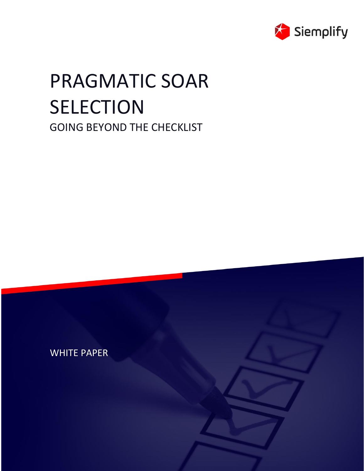

# PRAGMATIC SOAR SELECTION GOING BEYOND THE CHECKLIST

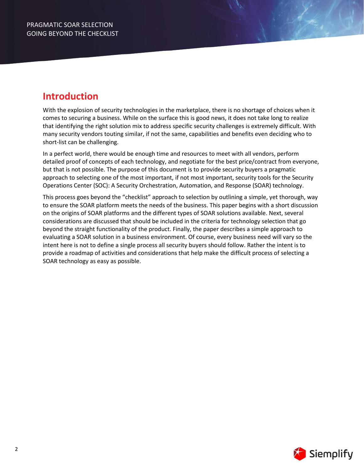# **Introduction**

With the explosion of security technologies in the marketplace, there is no shortage of choices when it comes to securing a business. While on the surface this is good news, it does not take long to realize that identifying the right solution mix to address specific security challenges is extremely difficult. With many security vendors touting similar, if not the same, capabilities and benefits even deciding who to short-list can be challenging.

In a perfect world, there would be enough time and resources to meet with all vendors, perform detailed proof of concepts of each technology, and negotiate for the best price/contract from everyone, but that is not possible. The purpose of this document is to provide security buyers a pragmatic approach to selecting one of the most important, if not most important, security tools for the Security Operations Center (SOC): A Security Orchestration, Automation, and Response (SOAR) technology.

This process goes beyond the "checklist" approach to selection by outlining a simple, yet thorough, way to ensure the SOAR platform meets the needs of the business. This paper begins with a short discussion on the origins of SOAR platforms and the different types of SOAR solutions available. Next, several considerations are discussed that should be included in the criteria for technology selection that go beyond the straight functionality of the product. Finally, the paper describes a simple approach to evaluating a SOAR solution in a business environment. Of course, every business need will vary so the intent here is not to define a single process all security buyers should follow. Rather the intent is to provide a roadmap of activities and considerations that help make the difficult process of selecting a SOAR technology as easy as possible.

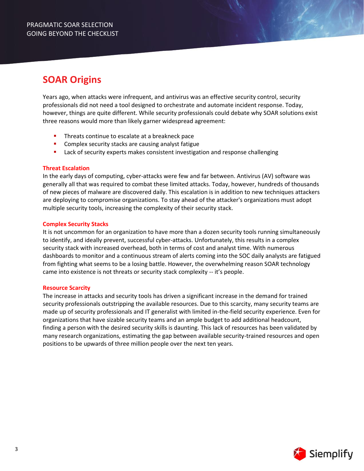# **SOAR Origins**

Years ago, when attacks were infrequent, and antivirus was an effective security control, security professionals did not need a tool designed to orchestrate and automate incident response. Today, however, things are quite different. While security professionals could debate why SOAR solutions exist three reasons would more than likely garner widespread agreement:

- Threats continue to escalate at a breakneck pace
- Complex security stacks are causing analyst fatigue
- Lack of security experts makes consistent investigation and response challenging

# **Threat Escalation**

In the early days of computing, cyber-attacks were few and far between. Antivirus (AV) software was generally all that was required to combat these limited attacks. Today, however, hundreds of thousands of new pieces of malware are discovered daily. This escalation is in addition to new techniques attackers are deploying to compromise organizations. To stay ahead of the attacker's organizations must adopt multiple security tools, increasing the complexity of their security stack.

# **Complex Security Stacks**

It is not uncommon for an organization to have more than a dozen security tools running simultaneously to identify, and ideally prevent, successful cyber-attacks. Unfortunately, this results in a complex security stack with increased overhead, both in terms of cost and analyst time. With numerous dashboards to monitor and a continuous stream of alerts coming into the SOC daily analysts are fatigued from fighting what seems to be a losing battle. However, the overwhelming reason SOAR technology came into existence is not threats or security stack complexity -- it's people.

### **Resource Scarcity**

The increase in attacks and security tools has driven a significant increase in the demand for trained security professionals outstripping the available resources. Due to this scarcity, many security teams are made up of security professionals and IT generalist with limited in-the-field security experience. Even for organizations that have sizable security teams and an ample budget to add additional headcount, finding a person with the desired security skills is daunting. This lack of resources has been validated by many research organizations, estimating the gap between available security-trained resources and open positions to be upwards of three million people over the next ten years.

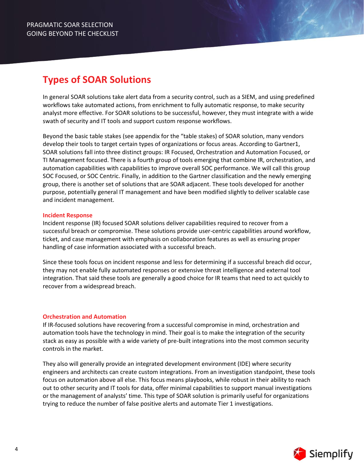# **Types of SOAR Solutions**

In general SOAR solutions take alert data from a security control, such as a SIEM, and using predefined workflows take automated actions, from enrichment to fully automatic response, to make security analyst more effective. For SOAR solutions to be successful, however, they must integrate with a wide swath of security and IT tools and support custom response workflows.

Beyond the basic table stakes (see appendix for the "table stakes) of SOAR solution, many vendors develop their tools to target certain types of organizations or focus areas. According to Gartner1, SOAR solutions fall into three distinct groups: IR Focused, Orchestration and Automation Focused, or TI Management focused. There is a fourth group of tools emerging that combine IR, orchestration, and automation capabilities with capabilities to improve overall SOC performance. We will call this group SOC Focused, or SOC Centric. Finally, in addition to the Gartner classification and the newly emerging group, there is another set of solutions that are SOAR adjacent. These tools developed for another purpose, potentially general IT management and have been modified slightly to deliver scalable case and incident management.

### **Incident Response**

Incident response (IR) focused SOAR solutions deliver capabilities required to recover from a successful breach or compromise. These solutions provide user-centric capabilities around workflow, ticket, and case management with emphasis on collaboration features as well as ensuring proper handling of case information associated with a successful breach.

Since these tools focus on incident response and less for determining if a successful breach did occur, they may not enable fully automated responses or extensive threat intelligence and external tool integration. That said these tools are generally a good choice for IR teams that need to act quickly to recover from a widespread breach.

### **Orchestration and Automation**

If IR-focused solutions have recovering from a successful compromise in mind, orchestration and automation tools have the technology in mind. Their goal is to make the integration of the security stack as easy as possible with a wide variety of pre-built integrations into the most common security controls in the market.

They also will generally provide an integrated development environment (IDE) where security engineers and architects can create custom integrations. From an investigation standpoint, these tools focus on automation above all else. This focus means playbooks, while robust in their ability to reach out to other security and IT tools for data, offer minimal capabilities to support manual investigations or the management of analysts' time. This type of SOAR solution is primarily useful for organizations trying to reduce the number of false positive alerts and automate Tier 1 investigations.

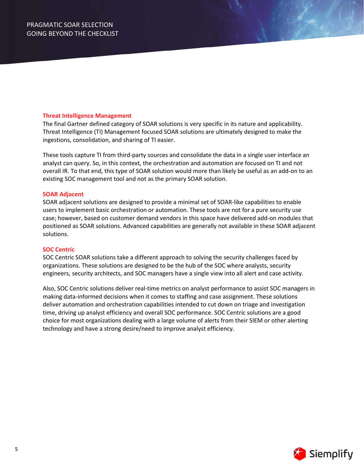### **Threat Intelligence Management**

The final Gartner defined category of SOAR solutions is very specific in its nature and applicability. Threat Intelligence (TI) Management focused SOAR solutions are ultimately designed to make the ingestions, consolidation, and sharing of TI easier.

These tools capture TI from third-party sources and consolidate the data in a single user interface an analyst can query. So, in this context, the orchestration and automation are focused on TI and not overall IR. To that end, this type of SOAR solution would more than likely be useful as an add-on to an existing SOC management tool and not as the primary SOAR solution.

### **SOAR Adjacent**

SOAR adjacent solutions are designed to provide a minimal set of SOAR-like capabilities to enable users to implement basic orchestration or automation. These tools are not for a pure security use case; however, based on customer demand vendors in this space have delivered add-on modules that positioned as SOAR solutions. Advanced capabilities are generally not available in these SOAR adjacent solutions.

### **SOC Centric**

SOC Centric SOAR solutions take a different approach to solving the security challenges faced by organizations. These solutions are designed to be the hub of the SOC where analysts, security engineers, security architects, and SOC managers have a single view into all alert and case activity.

Also, SOC Centric solutions deliver real-time metrics on analyst performance to assist SOC managers in making data-informed decisions when it comes to staffing and case assignment. These solutions deliver automation and orchestration capabilities intended to cut down on triage and investigation time, driving up analyst efficiency and overall SOC performance. SOC Centric solutions are a good choice for most organizations dealing with a large volume of alerts from their SIEM or other alerting technology and have a strong desire/need to improve analyst efficiency.

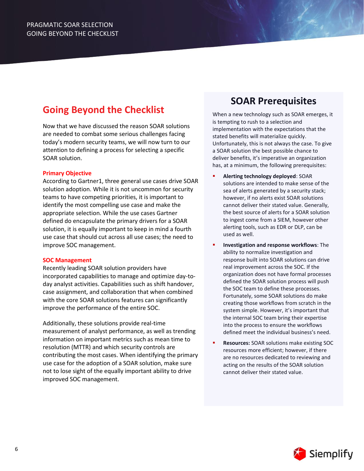# **Going Beyond the Checklist**

Now that we have discussed the reason SOAR solutions are needed to combat some serious challenges facing today's modern security teams, we will now turn to our attention to defining a process for selecting a specific SOAR solution.

# **Primary Objective**

According to Gartner1, three general use cases drive SOAR solution adoption. While it is not uncommon for security teams to have competing priorities, it is important to identify the most compelling use case and make the appropriate selection. While the use cases Gartner defined do encapsulate the primary drivers for a SOAR solution, it is equally important to keep in mind a fourth use case that should cut across all use cases; the need to improve SOC management.

### **SOC Management**

Recently leading SOAR solution providers have incorporated capabilities to manage and optimize day-today analyst activities. Capabilities such as shift handover, case assignment, and collaboration that when combined with the core SOAR solutions features can significantly improve the performance of the entire SOC.

Additionally, these solutions provide real-time measurement of analyst performance, as well as trending information on important metrics such as mean time to resolution (MTTR) and which security controls are contributing the most cases. When identifying the primary use case for the adoption of a SOAR solution, make sure not to lose sight of the equally important ability to drive improved SOC management.

# **SOAR Prerequisites**

When a new technology such as SOAR emerges, it is tempting to rush to a selection and implementation with the expectations that the stated benefits will materialize quickly. Unfortunately, this is not always the case. To give a SOAR solution the best possible chance to deliver benefits, it's imperative an organization has, at a minimum, the following prerequisites:

- **Alerting technology deployed: SOAR** solutions are intended to make sense of the sea of alerts generated by a security stack; however, if no alerts exist SOAR solutions cannot deliver their stated value. Generally, the best source of alerts for a SOAR solution to ingest come from a SIEM, however other alerting tools, such as EDR or DLP, can be used as well.
- **Investigation and response workflows**: The ability to normalize investigation and response built into SOAR solutions can drive real improvement across the SOC. If the organization does not have formal processes defined the SOAR solution process will push the SOC team to define these processes. Fortunately, some SOAR solutions do make creating those workflows from scratch in the system simple. However, it's important that the internal SOC team bring their expertise into the process to ensure the workflows defined meet the individual business's need.
- **Resources:** SOAR solutions make existing SOC resources more efficient; however, if there are no resources dedicated to reviewing and acting on the results of the SOAR solution cannot deliver their stated value.

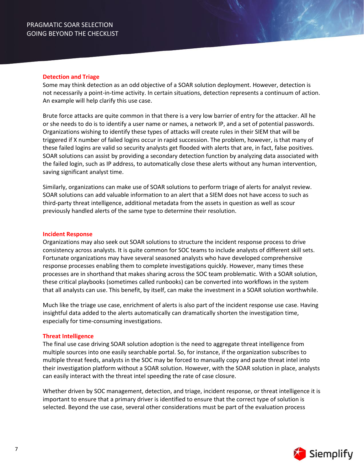#### **Detection and Triage**

Some may think detection as an odd objective of a SOAR solution deployment. However, detection is not necessarily a point-in-time activity. In certain situations, detection represents a continuum of action. An example will help clarify this use case.

Brute force attacks are quite common in that there is a very low barrier of entry for the attacker. All he or she needs to do is to identify a user name or names, a network IP, and a set of potential passwords. Organizations wishing to identify these types of attacks will create rules in their SIEM that will be triggered if X number of failed logins occur in rapid succession. The problem, however, is that many of these failed logins are valid so security analysts get flooded with alerts that are, in fact, false positives. SOAR solutions can assist by providing a secondary detection function by analyzing data associated with the failed login, such as IP address, to automatically close these alerts without any human intervention, saving significant analyst time.

Similarly, organizations can make use of SOAR solutions to perform triage of alerts for analyst review. SOAR solutions can add valuable information to an alert that a SIEM does not have access to such as third-party threat intelligence, additional metadata from the assets in question as well as scour previously handled alerts of the same type to determine their resolution.

#### **Incident Response**

Organizations may also seek out SOAR solutions to structure the incident response process to drive consistency across analysts. It is quite common for SOC teams to include analysts of different skill sets. Fortunate organizations may have several seasoned analysts who have developed comprehensive response processes enabling them to complete investigations quickly. However, many times these processes are in shorthand that makes sharing across the SOC team problematic. With a SOAR solution, these critical playbooks (sometimes called runbooks) can be converted into workflows in the system that all analysts can use. This benefit, by itself, can make the investment in a SOAR solution worthwhile.

Much like the triage use case, enrichment of alerts is also part of the incident response use case. Having insightful data added to the alerts automatically can dramatically shorten the investigation time, especially for time-consuming investigations.

### **Threat Intelligence**

The final use case driving SOAR solution adoption is the need to aggregate threat intelligence from multiple sources into one easily searchable portal. So, for instance, if the organization subscribes to multiple threat feeds, analysts in the SOC may be forced to manually copy and paste threat intel into their investigation platform without a SOAR solution. However, with the SOAR solution in place, analysts can easily interact with the threat intel speeding the rate of case closure.

Whether driven by SOC management, detection, and triage, incident response, or threat intelligence it is important to ensure that a primary driver is identified to ensure that the correct type of solution is selected. Beyond the use case, several other considerations must be part of the evaluation process

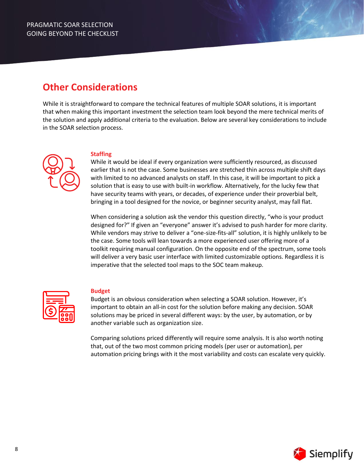# **Other Considerations**

While it is straightforward to compare the technical features of multiple SOAR solutions, it is important that when making this important investment the selection team look beyond the mere technical merits of the solution and apply additional criteria to the evaluation. Below are several key considerations to include in the SOAR selection process.



# **Staffing**

While it would be ideal if every organization were sufficiently resourced, as discussed earlier that is not the case. Some businesses are stretched thin across multiple shift days with limited to no advanced analysts on staff. In this case, it will be important to pick a solution that is easy to use with built-in workflow. Alternatively, for the lucky few that have security teams with years, or decades, of experience under their proverbial belt, bringing in a tool designed for the novice, or beginner security analyst, may fall flat.

When considering a solution ask the vendor this question directly, "who is your product designed for?" If given an "everyone" answer it's advised to push harder for more clarity. While vendors may strive to deliver a "one-size-fits-all" solution, it is highly unlikely to be the case. Some tools will lean towards a more experienced user offering more of a toolkit requiring manual configuration. On the opposite end of the spectrum, some tools will deliver a very basic user interface with limited customizable options. Regardless it is imperative that the selected tool maps to the SOC team makeup.



### **Budget**

Budget is an obvious consideration when selecting a SOAR solution. However, it's important to obtain an all-in cost for the solution before making any decision. SOAR solutions may be priced in several different ways: by the user, by automation, or by another variable such as organization size.

Comparing solutions priced differently will require some analysis. It is also worth noting that, out of the two most common pricing models (per user or automation), per automation pricing brings with it the most variability and costs can escalate very quickly.

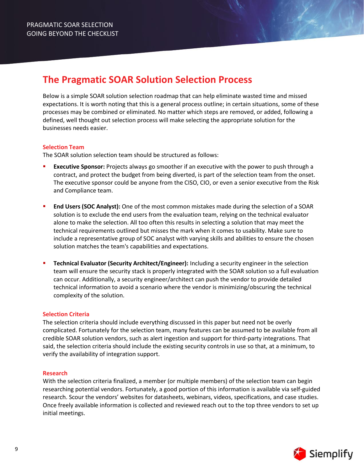# **The Pragmatic SOAR Solution Selection Process**

Below is a simple SOAR solution selection roadmap that can help eliminate wasted time and missed expectations. It is worth noting that this is a general process outline; in certain situations, some of these processes may be combined or eliminated. No matter which steps are removed, or added, following a defined, well thought out selection process will make selecting the appropriate solution for the businesses needs easier.

# **Selection Team**

The SOAR solution selection team should be structured as follows:

- **Executive Sponsor:** Projects always go smoother if an executive with the power to push through a contract, and protect the budget from being diverted, is part of the selection team from the onset. The executive sponsor could be anyone from the CISO, CIO, or even a senior executive from the Risk and Compliance team.
- **End Users (SOC Analyst):** One of the most common mistakes made during the selection of a SOAR solution is to exclude the end users from the evaluation team, relying on the technical evaluator alone to make the selection. All too often this results in selecting a solution that may meet the technical requirements outlined but misses the mark when it comes to usability. Make sure to include a representative group of SOC analyst with varying skills and abilities to ensure the chosen solution matches the team's capabilities and expectations.
- **Technical Evaluator (Security Architect/Engineer):** Including a security engineer in the selection team will ensure the security stack is properly integrated with the SOAR solution so a full evaluation can occur. Additionally, a security engineer/architect can push the vendor to provide detailed technical information to avoid a scenario where the vendor is minimizing/obscuring the technical complexity of the solution.

### **Selection Criteria**

The selection criteria should include everything discussed in this paper but need not be overly complicated. Fortunately for the selection team, many features can be assumed to be available from all credible SOAR solution vendors, such as alert ingestion and support for third-party integrations. That said, the selection criteria should include the existing security controls in use so that, at a minimum, to verify the availability of integration support.

### **Research**

With the selection criteria finalized, a member (or multiple members) of the selection team can begin researching potential vendors. Fortunately, a good portion of this information is available via self-guided research. Scour the vendors' websites for datasheets, webinars, videos, specifications, and case studies. Once freely available information is collected and reviewed reach out to the top three vendors to set up initial meetings.

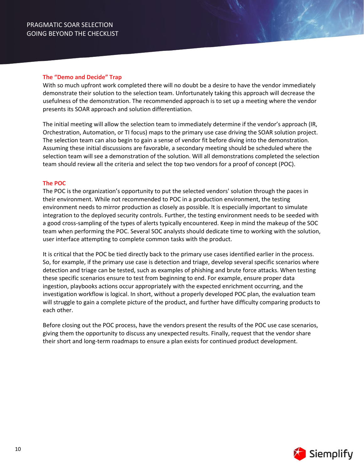### **The "Demo and Decide" Trap**

With so much upfront work completed there will no doubt be a desire to have the vendor immediately demonstrate their solution to the selection team. Unfortunately taking this approach will decrease the usefulness of the demonstration. The recommended approach is to set up a meeting where the vendor presents its SOAR approach and solution differentiation.

The initial meeting will allow the selection team to immediately determine if the vendor's approach (IR, Orchestration, Automation, or TI focus) maps to the primary use case driving the SOAR solution project. The selection team can also begin to gain a sense of vendor fit before diving into the demonstration. Assuming these initial discussions are favorable, a secondary meeting should be scheduled where the selection team will see a demonstration of the solution. Will all demonstrations completed the selection team should review all the criteria and select the top two vendors for a proof of concept (POC).

# **The POC**

The POC is the organization's opportunity to put the selected vendors' solution through the paces in their environment. While not recommended to POC in a production environment, the testing environment needs to mirror production as closely as possible. It is especially important to simulate integration to the deployed security controls. Further, the testing environment needs to be seeded with a good cross-sampling of the types of alerts typically encountered. Keep in mind the makeup of the SOC team when performing the POC. Several SOC analysts should dedicate time to working with the solution, user interface attempting to complete common tasks with the product.

It is critical that the POC be tied directly back to the primary use cases identified earlier in the process. So, for example, if the primary use case is detection and triage, develop several specific scenarios where detection and triage can be tested, such as examples of phishing and brute force attacks. When testing these specific scenarios ensure to test from beginning to end. For example, ensure proper data ingestion, playbooks actions occur appropriately with the expected enrichment occurring, and the investigation workflow is logical. In short, without a properly developed POC plan, the evaluation team will struggle to gain a complete picture of the product, and further have difficulty comparing products to each other.

Before closing out the POC process, have the vendors present the results of the POC use case scenarios, giving them the opportunity to discuss any unexpected results. Finally, request that the vendor share their short and long-term roadmaps to ensure a plan exists for continued product development.

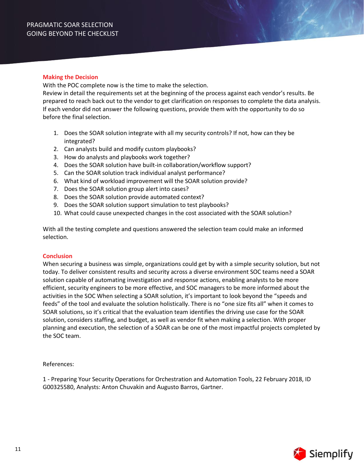### **Making the Decision**

With the POC complete now is the time to make the selection.

Review in detail the requirements set at the beginning of the process against each vendor's results. Be prepared to reach back out to the vendor to get clarification on responses to complete the data analysis. If each vendor did not answer the following questions, provide them with the opportunity to do so before the final selection.

- 1. Does the SOAR solution integrate with all my security controls? If not, how can they be integrated?
- 2. Can analysts build and modify custom playbooks?
- 3. How do analysts and playbooks work together?
- 4. Does the SOAR solution have built-in collaboration/workflow support?
- 5. Can the SOAR solution track individual analyst performance?
- 6. What kind of workload improvement will the SOAR solution provide?
- 7. Does the SOAR solution group alert into cases?
- 8. Does the SOAR solution provide automated context?
- 9. Does the SOAR solution support simulation to test playbooks?
- 10. What could cause unexpected changes in the cost associated with the SOAR solution?

With all the testing complete and questions answered the selection team could make an informed selection.

# **Conclusion**

When securing a business was simple, organizations could get by with a simple security solution, but not today. To deliver consistent results and security across a diverse environment SOC teams need a SOAR solution capable of automating investigation and response actions, enabling analysts to be more efficient, security engineers to be more effective, and SOC managers to be more informed about the activities in the SOC When selecting a SOAR solution, it's important to look beyond the "speeds and feeds" of the tool and evaluate the solution holistically. There is no "one size fits all" when it comes to SOAR solutions, so it's critical that the evaluation team identifies the driving use case for the SOAR solution, considers staffing, and budget, as well as vendor fit when making a selection. With proper planning and execution, the selection of a SOAR can be one of the most impactful projects completed by the SOC team.

References:

1 - Preparing Your Security Operations for Orchestration and Automation Tools, 22 February 2018, ID G00325580, Analysts: Anton Chuvakin and Augusto Barros, Gartner.

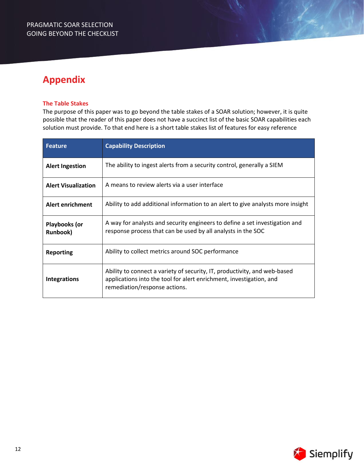# **Appendix**

# **The Table Stakes**

The purpose of this paper was to go beyond the table stakes of a SOAR solution; however, it is quite possible that the reader of this paper does not have a succinct list of the basic SOAR capabilities each solution must provide. To that end here is a short table stakes list of features for easy reference

| <b>Feature</b>                   | <b>Capability Description</b>                                                                                                                                                     |  |  |
|----------------------------------|-----------------------------------------------------------------------------------------------------------------------------------------------------------------------------------|--|--|
| <b>Alert Ingestion</b>           | The ability to ingest alerts from a security control, generally a SIEM                                                                                                            |  |  |
| <b>Alert Visualization</b>       | A means to review alerts via a user interface                                                                                                                                     |  |  |
| <b>Alert enrichment</b>          | Ability to add additional information to an alert to give analysts more insight                                                                                                   |  |  |
| Playbooks (or<br><b>Runbook)</b> | A way for analysts and security engineers to define a set investigation and<br>response process that can be used by all analysts in the SOC                                       |  |  |
| <b>Reporting</b>                 | Ability to collect metrics around SOC performance                                                                                                                                 |  |  |
| <b>Integrations</b>              | Ability to connect a variety of security, IT, productivity, and web-based<br>applications into the tool for alert enrichment, investigation, and<br>remediation/response actions. |  |  |

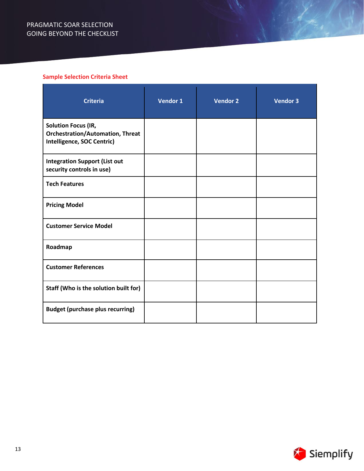# **Sample Selection Criteria Sheet**

| <b>Criteria</b>                                                                                     | Vendor 1 | <b>Vendor 2</b> | <b>Vendor 3</b> |
|-----------------------------------------------------------------------------------------------------|----------|-----------------|-----------------|
| <b>Solution Focus (IR,</b><br><b>Orchestration/Automation, Threat</b><br>Intelligence, SOC Centric) |          |                 |                 |
| <b>Integration Support (List out</b><br>security controls in use)                                   |          |                 |                 |
| <b>Tech Features</b>                                                                                |          |                 |                 |
| <b>Pricing Model</b>                                                                                |          |                 |                 |
| <b>Customer Service Model</b>                                                                       |          |                 |                 |
| Roadmap                                                                                             |          |                 |                 |
| <b>Customer References</b>                                                                          |          |                 |                 |
| Staff (Who is the solution built for)                                                               |          |                 |                 |
| <b>Budget (purchase plus recurring)</b>                                                             |          |                 |                 |

 $\ell^{\ell}$